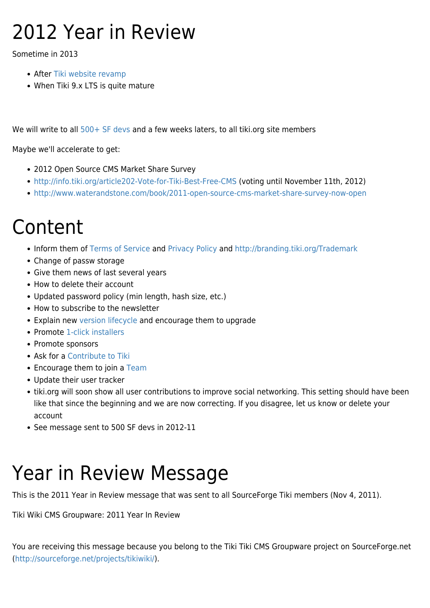# 2012 Year in Review

Sometime in 2013

- After [Tiki website revamp](https://suite.tiki.org/Tiki-website-revamp)
- When Tiki 9.x LTS is quite mature

We will write to all [500+ SF devs](http://sourceforge.net/project/memberlist.php?group_id=64258) and a few weeks laters, to all tiki.org site members

Maybe we'll accelerate to get:

- 2012 Open Source CMS Market Share Survey
- <http://info.tiki.org/article202-Vote-for-Tiki-Best-Free-CMS>(voting until November 11th, 2012)
- <http://www.waterandstone.com/book/2011-open-source-cms-market-share-survey-now-open>

# Content

- Inform them of [Terms of Service](https://suite.tiki.org/Terms-of-Service) and [Privacy Policy](https://suite.tiki.org/Privacy-Policy) and <http://branding.tiki.org/Trademark>
- Change of passw storage
- Give them news of last several years
- How to delete their account
- Updated password policy (min length, hash size, etc.)
- How to subscribe to the newsletter
- Explain new [version lifecycle](http://info.tiki.org/version%20lifecycle) and encourage them to upgrade
- Promote [1-click installers](https://suite.tiki.org/1-click-installers)
- Promote sponsors
- Ask for a [Contribute to Tiki](https://suite.tiki.org/Contribute-to-Tiki)
- Encourage them to join a [Team](https://suite.tiki.org/Teams)
- Update their user tracker
- tiki.org will soon show all user contributions to improve social networking. This setting should have been like that since the beginning and we are now correcting. If you disagree, let us know or delete your account
- See message sent to 500 SF devs in 2012-11

# Year in Review Message

This is the 2011 Year in Review message that was sent to all SourceForge Tiki members (Nov 4, 2011).

Tiki Wiki CMS Groupware: 2011 Year In Review

You are receiving this message because you belong to the Tiki Tiki CMS Groupware project on SourceForge.net ([http://sourceforge.net/projects/tikiwiki/\)](http://sourceforge.net/projects/tikiwiki/).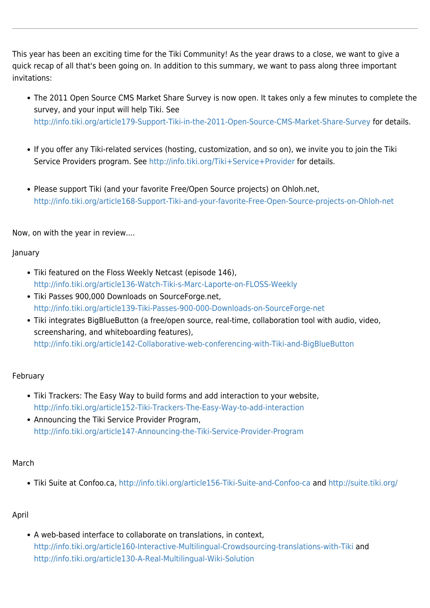This year has been an exciting time for the Tiki Community! As the year draws to a close, we want to give a quick recap of all that's been going on. In addition to this summary, we want to pass along three important invitations:

- The 2011 Open Source CMS Market Share Survey is now open. It takes only a few minutes to complete the survey, and your input will help Tiki. See <http://info.tiki.org/article179-Support-Tiki-in-the-2011-Open-Source-CMS-Market-Share-Survey> for details.
- If you offer any Tiki-related services (hosting, customization, and so on), we invite you to join the Tiki Service Providers program. See <http://info.tiki.org/Tiki+Service+Provider> for details.
- Please support Tiki (and your favorite Free/Open Source projects) on Ohloh.net, <http://info.tiki.org/article168-Support-Tiki-and-your-favorite-Free-Open-Source-projects-on-Ohloh-net>

Now, on with the year in review....

## January

- Tiki featured on the Floss Weekly Netcast (episode 146), <http://info.tiki.org/article136-Watch-Tiki-s-Marc-Laporte-on-FLOSS-Weekly>
- Tiki Passes 900,000 Downloads on SourceForge.net, <http://info.tiki.org/article139-Tiki-Passes-900-000-Downloads-on-SourceForge-net>
- Tiki integrates BigBlueButton (a free/open source, real-time, collaboration tool with audio, video, screensharing, and whiteboarding features), <http://info.tiki.org/article142-Collaborative-web-conferencing-with-Tiki-and-BigBlueButton>

#### February

- Tiki Trackers: The Easy Way to build forms and add interaction to your website, <http://info.tiki.org/article152-Tiki-Trackers-The-Easy-Way-to-add-interaction>
- Announcing the Tiki Service Provider Program, <http://info.tiki.org/article147-Announcing-the-Tiki-Service-Provider-Program>

#### March

Tiki Suite at Confoo.ca, <http://info.tiki.org/article156-Tiki-Suite-and-Confoo-ca> and <http://suite.tiki.org/>

# April

A web-based interface to collaborate on translations, in context, <http://info.tiki.org/article160-Interactive-Multilingual-Crowdsourcing-translations-with-Tiki> and <http://info.tiki.org/article130-A-Real-Multilingual-Wiki-Solution>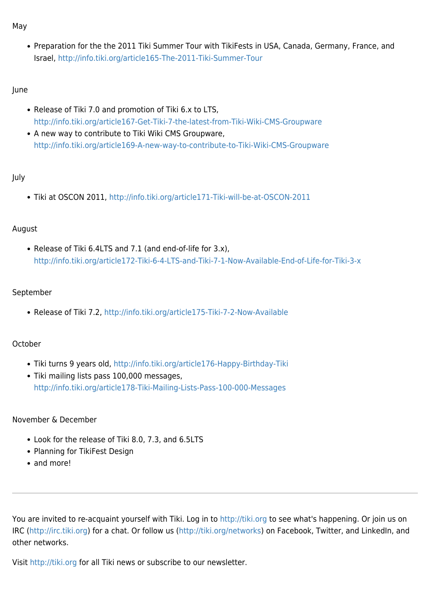May

Preparation for the the 2011 Tiki Summer Tour with TikiFests in USA, Canada, Germany, France, and Israel,<http://info.tiki.org/article165-The-2011-Tiki-Summer-Tour>

#### June

- Release of Tiki 7.0 and promotion of Tiki 6.x to LTS, <http://info.tiki.org/article167-Get-Tiki-7-the-latest-from-Tiki-Wiki-CMS-Groupware>
- A new way to contribute to Tiki Wiki CMS Groupware, <http://info.tiki.org/article169-A-new-way-to-contribute-to-Tiki-Wiki-CMS-Groupware>

## July

Tiki at OSCON 2011,<http://info.tiki.org/article171-Tiki-will-be-at-OSCON-2011>

#### August

Release of Tiki 6.4LTS and 7.1 (and end-of-life for 3.x), <http://info.tiki.org/article172-Tiki-6-4-LTS-and-Tiki-7-1-Now-Available-End-of-Life-for-Tiki-3-x>

## September

Release of Tiki 7.2,<http://info.tiki.org/article175-Tiki-7-2-Now-Available>

# October

- Tiki turns 9 years old, <http://info.tiki.org/article176-Happy-Birthday-Tiki>
- Tiki mailing lists pass 100,000 messages, <http://info.tiki.org/article178-Tiki-Mailing-Lists-Pass-100-000-Messages>

#### November & December

- Look for the release of Tiki 8.0, 7.3, and 6.5LTS
- Planning for TikiFest Design
- and more!

You are invited to re-acquaint yourself with Tiki. Log in to <http://tiki.org>to see what's happening. Or join us on IRC (<http://irc.tiki.org>) for a chat. Or follow us ([http://tiki.org/networks\)](http://tiki.org/networks) on Facebook, Twitter, and LinkedIn, and other networks.

Visit <http://tiki.org>for all Tiki news or subscribe to our newsletter.